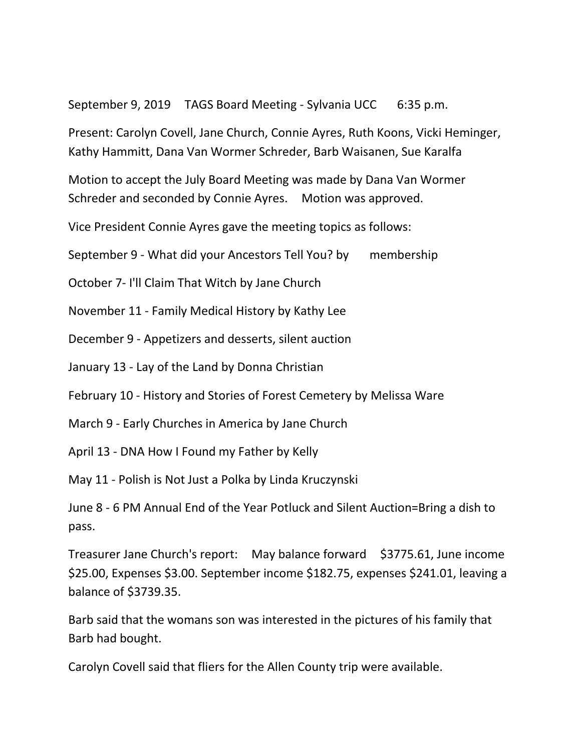September 9, 2019 TAGS Board Meeting - Sylvania UCC 6:35 p.m.

Present: Carolyn Covell, Jane Church, Connie Ayres, Ruth Koons, Vicki Heminger, Kathy Hammitt, Dana Van Wormer Schreder, Barb Waisanen, Sue Karalfa

Motion to accept the July Board Meeting was made by Dana Van Wormer Schreder and seconded by Connie Ayres. Motion was approved.

Vice President Connie Ayres gave the meeting topics as follows:

September 9 - What did your Ancestors Tell You? by membership

October 7- I'll Claim That Witch by Jane Church

November 11 - Family Medical History by Kathy Lee

December 9 - Appetizers and desserts, silent auction

January 13 - Lay of the Land by Donna Christian

February 10 - History and Stories of Forest Cemetery by Melissa Ware

March 9 - Early Churches in America by Jane Church

April 13 - DNA How I Found my Father by Kelly

May 11 - Polish is Not Just a Polka by Linda Kruczynski

June 8 - 6 PM Annual End of the Year Potluck and Silent Auction=Bring a dish to pass.

Treasurer Jane Church's report: May balance forward \$3775.61, June income \$25.00, Expenses \$3.00. September income \$182.75, expenses \$241.01, leaving a balance of \$3739.35.

Barb said that the womans son was interested in the pictures of his family that Barb had bought.

Carolyn Covell said that fliers for the Allen County trip were available.